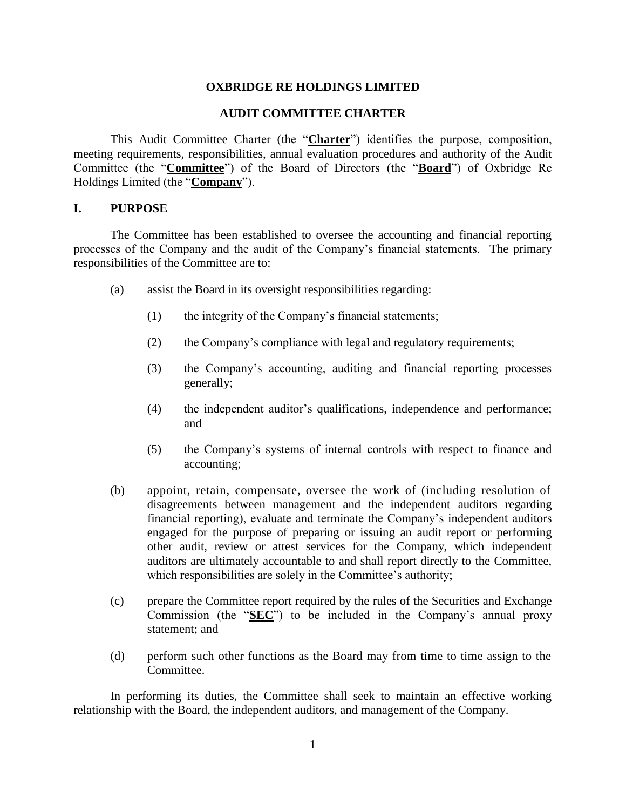## **OXBRIDGE RE HOLDINGS LIMITED**

### **AUDIT COMMITTEE CHARTER**

This Audit Committee Charter (the "**Charter**") identifies the purpose, composition, meeting requirements, responsibilities, annual evaluation procedures and authority of the Audit Committee (the "**Committee**") of the Board of Directors (the "**Board**") of Oxbridge Re Holdings Limited (the "**Company**").

### **I. PURPOSE**

The Committee has been established to oversee the accounting and financial reporting processes of the Company and the audit of the Company's financial statements. The primary responsibilities of the Committee are to:

- (a) assist the Board in its oversight responsibilities regarding:
	- (1) the integrity of the Company's financial statements;
	- (2) the Company's compliance with legal and regulatory requirements;
	- (3) the Company's accounting, auditing and financial reporting processes generally;
	- (4) the independent auditor's qualifications, independence and performance; and
	- (5) the Company's systems of internal controls with respect to finance and accounting;
- (b) appoint, retain, compensate, oversee the work of (including resolution of disagreements between management and the independent auditors regarding financial reporting), evaluate and terminate the Company's independent auditors engaged for the purpose of preparing or issuing an audit report or performing other audit, review or attest services for the Company, which independent auditors are ultimately accountable to and shall report directly to the Committee, which responsibilities are solely in the Committee's authority;
- (c) prepare the Committee report required by the rules of the Securities and Exchange Commission (the "**SEC**") to be included in the Company's annual proxy statement; and
- (d) perform such other functions as the Board may from time to time assign to the Committee.

In performing its duties, the Committee shall seek to maintain an effective working relationship with the Board, the independent auditors, and management of the Company.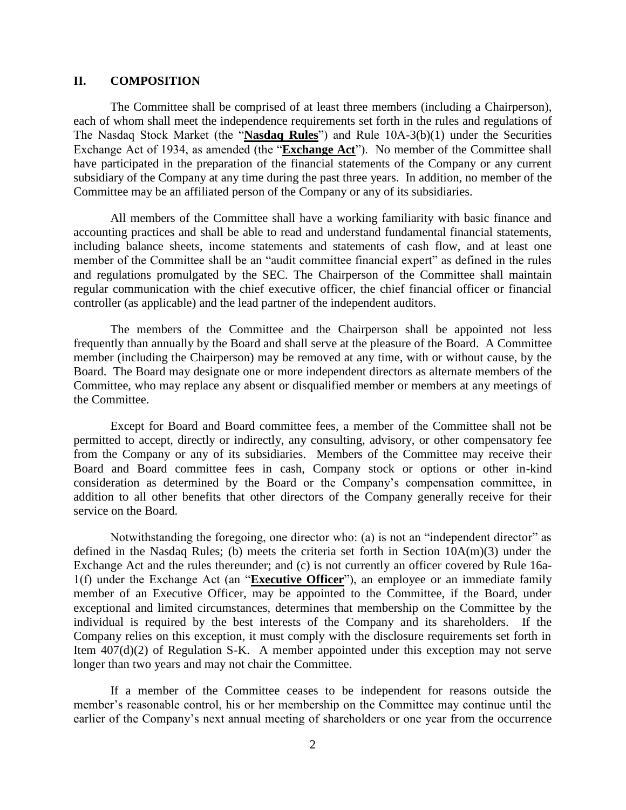# **II. COMPOSITION**

The Committee shall be comprised of at least three members (including a Chairperson), each of whom shall meet the independence requirements set forth in the rules and regulations of The Nasdaq Stock Market (the "**Nasdaq Rules**") and Rule 10A-3(b)(1) under the Securities Exchange Act of 1934, as amended (the "**Exchange Act**"). No member of the Committee shall have participated in the preparation of the financial statements of the Company or any current subsidiary of the Company at any time during the past three years. In addition, no member of the Committee may be an affiliated person of the Company or any of its subsidiaries.

All members of the Committee shall have a working familiarity with basic finance and accounting practices and shall be able to read and understand fundamental financial statements, including balance sheets, income statements and statements of cash flow, and at least one member of the Committee shall be an "audit committee financial expert" as defined in the rules and regulations promulgated by the SEC. The Chairperson of the Committee shall maintain regular communication with the chief executive officer, the chief financial officer or financial controller (as applicable) and the lead partner of the independent auditors.

The members of the Committee and the Chairperson shall be appointed not less frequently than annually by the Board and shall serve at the pleasure of the Board. A Committee member (including the Chairperson) may be removed at any time, with or without cause, by the Board. The Board may designate one or more independent directors as alternate members of the Committee, who may replace any absent or disqualified member or members at any meetings of the Committee.

Except for Board and Board committee fees, a member of the Committee shall not be permitted to accept, directly or indirectly, any consulting, advisory, or other compensatory fee from the Company or any of its subsidiaries. Members of the Committee may receive their Board and Board committee fees in cash, Company stock or options or other in-kind consideration as determined by the Board or the Company's compensation committee, in addition to all other benefits that other directors of the Company generally receive for their service on the Board.

Notwithstanding the foregoing, one director who: (a) is not an "independent director" as defined in the Nasdaq Rules; (b) meets the criteria set forth in Section 10A(m)(3) under the Exchange Act and the rules thereunder; and (c) is not currently an officer covered by Rule 16a-1(f) under the Exchange Act (an "**Executive Officer**"), an employee or an immediate family member of an Executive Officer, may be appointed to the Committee, if the Board, under exceptional and limited circumstances, determines that membership on the Committee by the individual is required by the best interests of the Company and its shareholders. If the Company relies on this exception, it must comply with the disclosure requirements set forth in Item 407(d)(2) of Regulation S-K. A member appointed under this exception may not serve longer than two years and may not chair the Committee.

If a member of the Committee ceases to be independent for reasons outside the member's reasonable control, his or her membership on the Committee may continue until the earlier of the Company's next annual meeting of shareholders or one year from the occurrence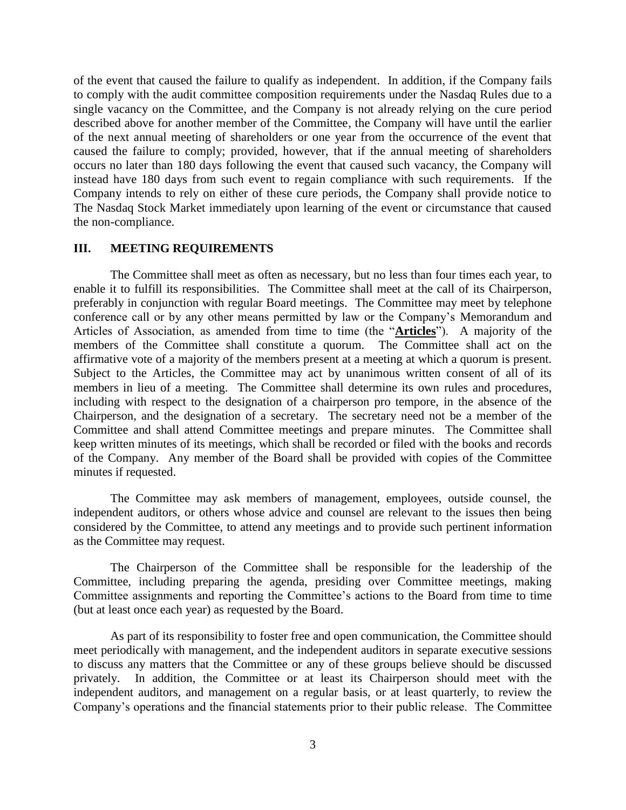of the event that caused the failure to qualify as independent. In addition, if the Company fails to comply with the audit committee composition requirements under the Nasdaq Rules due to a single vacancy on the Committee, and the Company is not already relying on the cure period described above for another member of the Committee, the Company will have until the earlier of the next annual meeting of shareholders or one year from the occurrence of the event that caused the failure to comply; provided, however, that if the annual meeting of shareholders occurs no later than 180 days following the event that caused such vacancy, the Company will instead have 180 days from such event to regain compliance with such requirements. If the Company intends to rely on either of these cure periods, the Company shall provide notice to The Nasdaq Stock Market immediately upon learning of the event or circumstance that caused the non-compliance.

## **III. MEETING REQUIREMENTS**

The Committee shall meet as often as necessary, but no less than four times each year, to enable it to fulfill its responsibilities. The Committee shall meet at the call of its Chairperson, preferably in conjunction with regular Board meetings. The Committee may meet by telephone conference call or by any other means permitted by law or the Company's Memorandum and Articles of Association, as amended from time to time (the "**Articles**"). A majority of the members of the Committee shall constitute a quorum. The Committee shall act on the affirmative vote of a majority of the members present at a meeting at which a quorum is present. Subject to the Articles, the Committee may act by unanimous written consent of all of its members in lieu of a meeting. The Committee shall determine its own rules and procedures, including with respect to the designation of a chairperson pro tempore, in the absence of the Chairperson, and the designation of a secretary. The secretary need not be a member of the Committee and shall attend Committee meetings and prepare minutes. The Committee shall keep written minutes of its meetings, which shall be recorded or filed with the books and records of the Company. Any member of the Board shall be provided with copies of the Committee minutes if requested.

The Committee may ask members of management, employees, outside counsel, the independent auditors, or others whose advice and counsel are relevant to the issues then being considered by the Committee, to attend any meetings and to provide such pertinent information as the Committee may request.

The Chairperson of the Committee shall be responsible for the leadership of the Committee, including preparing the agenda, presiding over Committee meetings, making Committee assignments and reporting the Committee's actions to the Board from time to time (but at least once each year) as requested by the Board.

As part of its responsibility to foster free and open communication, the Committee should meet periodically with management, and the independent auditors in separate executive sessions to discuss any matters that the Committee or any of these groups believe should be discussed privately. In addition, the Committee or at least its Chairperson should meet with the independent auditors, and management on a regular basis, or at least quarterly, to review the Company's operations and the financial statements prior to their public release. The Committee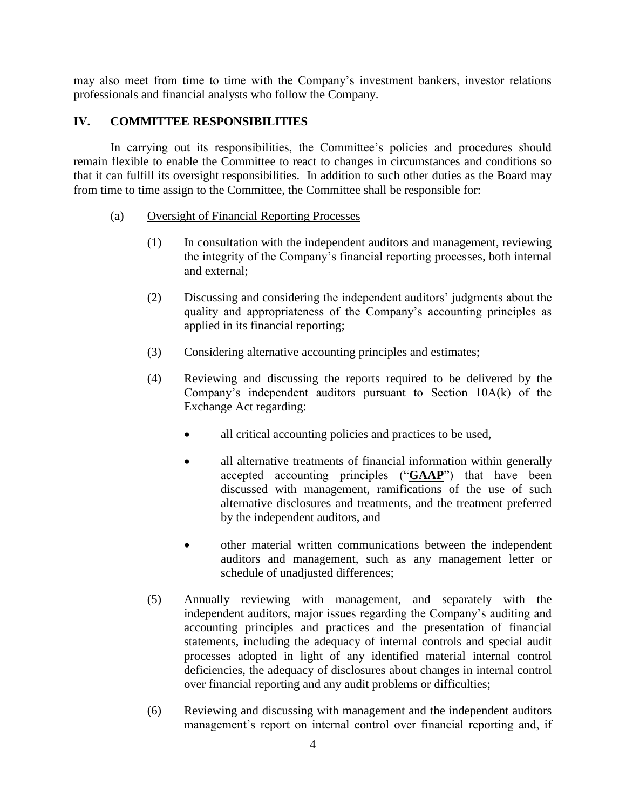may also meet from time to time with the Company's investment bankers, investor relations professionals and financial analysts who follow the Company.

# **IV. COMMITTEE RESPONSIBILITIES**

In carrying out its responsibilities, the Committee's policies and procedures should remain flexible to enable the Committee to react to changes in circumstances and conditions so that it can fulfill its oversight responsibilities. In addition to such other duties as the Board may from time to time assign to the Committee, the Committee shall be responsible for:

# (a) Oversight of Financial Reporting Processes

- (1) In consultation with the independent auditors and management, reviewing the integrity of the Company's financial reporting processes, both internal and external;
- (2) Discussing and considering the independent auditors' judgments about the quality and appropriateness of the Company's accounting principles as applied in its financial reporting;
- (3) Considering alternative accounting principles and estimates;
- (4) Reviewing and discussing the reports required to be delivered by the Company's independent auditors pursuant to Section 10A(k) of the Exchange Act regarding:
	- all critical accounting policies and practices to be used,
	- all alternative treatments of financial information within generally accepted accounting principles ("**GAAP**") that have been discussed with management, ramifications of the use of such alternative disclosures and treatments, and the treatment preferred by the independent auditors, and
	- other material written communications between the independent auditors and management, such as any management letter or schedule of unadjusted differences;
- (5) Annually reviewing with management, and separately with the independent auditors, major issues regarding the Company's auditing and accounting principles and practices and the presentation of financial statements, including the adequacy of internal controls and special audit processes adopted in light of any identified material internal control deficiencies, the adequacy of disclosures about changes in internal control over financial reporting and any audit problems or difficulties;
- (6) Reviewing and discussing with management and the independent auditors management's report on internal control over financial reporting and, if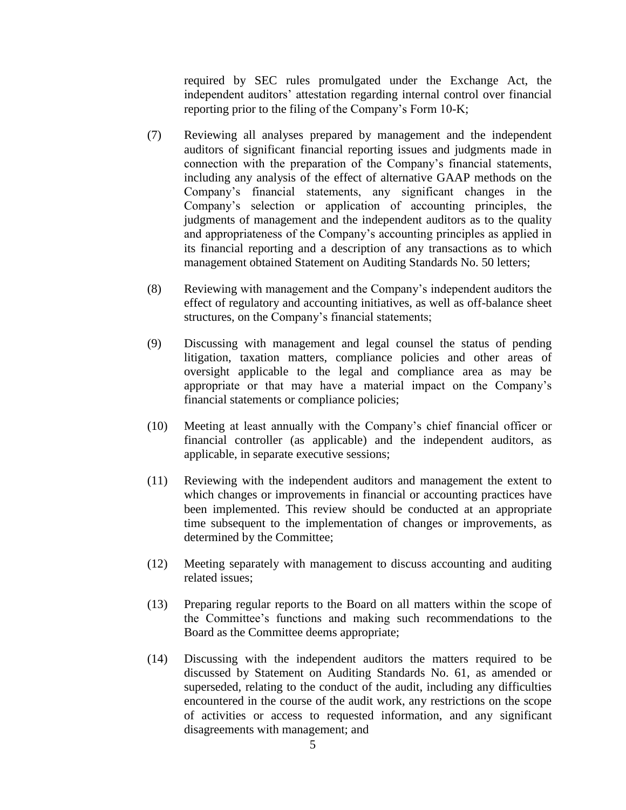required by SEC rules promulgated under the Exchange Act, the independent auditors' attestation regarding internal control over financial reporting prior to the filing of the Company's Form 10-K;

- (7) Reviewing all analyses prepared by management and the independent auditors of significant financial reporting issues and judgments made in connection with the preparation of the Company's financial statements, including any analysis of the effect of alternative GAAP methods on the Company's financial statements, any significant changes in the Company's selection or application of accounting principles, the judgments of management and the independent auditors as to the quality and appropriateness of the Company's accounting principles as applied in its financial reporting and a description of any transactions as to which management obtained Statement on Auditing Standards No. 50 letters;
- (8) Reviewing with management and the Company's independent auditors the effect of regulatory and accounting initiatives, as well as off-balance sheet structures, on the Company's financial statements;
- (9) Discussing with management and legal counsel the status of pending litigation, taxation matters, compliance policies and other areas of oversight applicable to the legal and compliance area as may be appropriate or that may have a material impact on the Company's financial statements or compliance policies;
- (10) Meeting at least annually with the Company's chief financial officer or financial controller (as applicable) and the independent auditors, as applicable, in separate executive sessions;
- (11) Reviewing with the independent auditors and management the extent to which changes or improvements in financial or accounting practices have been implemented. This review should be conducted at an appropriate time subsequent to the implementation of changes or improvements, as determined by the Committee;
- (12) Meeting separately with management to discuss accounting and auditing related issues;
- (13) Preparing regular reports to the Board on all matters within the scope of the Committee's functions and making such recommendations to the Board as the Committee deems appropriate;
- (14) Discussing with the independent auditors the matters required to be discussed by Statement on Auditing Standards No. 61, as amended or superseded, relating to the conduct of the audit, including any difficulties encountered in the course of the audit work, any restrictions on the scope of activities or access to requested information, and any significant disagreements with management; and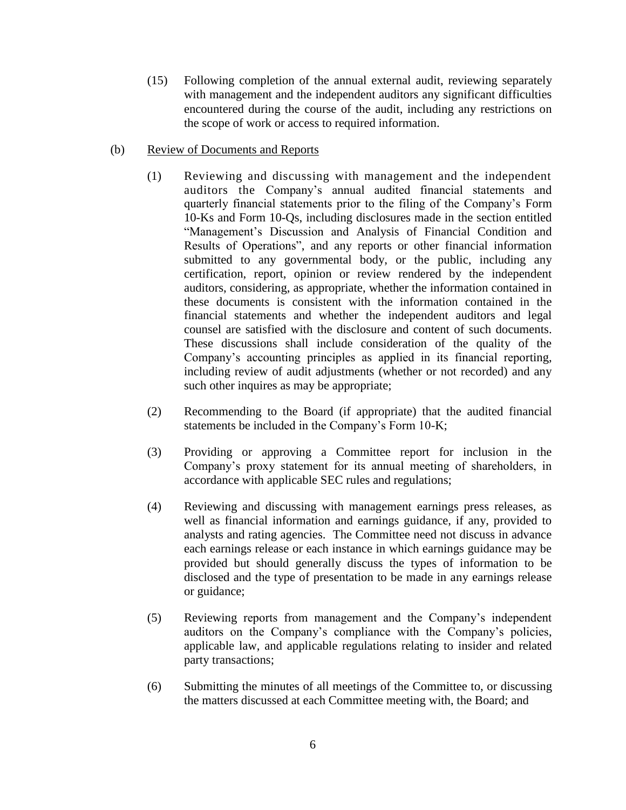- (15) Following completion of the annual external audit, reviewing separately with management and the independent auditors any significant difficulties encountered during the course of the audit, including any restrictions on the scope of work or access to required information.
- (b) Review of Documents and Reports
	- (1) Reviewing and discussing with management and the independent auditors the Company's annual audited financial statements and quarterly financial statements prior to the filing of the Company's Form 10-Ks and Form 10-Qs, including disclosures made in the section entitled "Management's Discussion and Analysis of Financial Condition and Results of Operations", and any reports or other financial information submitted to any governmental body, or the public, including any certification, report, opinion or review rendered by the independent auditors, considering, as appropriate, whether the information contained in these documents is consistent with the information contained in the financial statements and whether the independent auditors and legal counsel are satisfied with the disclosure and content of such documents. These discussions shall include consideration of the quality of the Company's accounting principles as applied in its financial reporting, including review of audit adjustments (whether or not recorded) and any such other inquires as may be appropriate;
	- (2) Recommending to the Board (if appropriate) that the audited financial statements be included in the Company's Form 10-K;
	- (3) Providing or approving a Committee report for inclusion in the Company's proxy statement for its annual meeting of shareholders, in accordance with applicable SEC rules and regulations;
	- (4) Reviewing and discussing with management earnings press releases, as well as financial information and earnings guidance, if any, provided to analysts and rating agencies. The Committee need not discuss in advance each earnings release or each instance in which earnings guidance may be provided but should generally discuss the types of information to be disclosed and the type of presentation to be made in any earnings release or guidance;
	- (5) Reviewing reports from management and the Company's independent auditors on the Company's compliance with the Company's policies, applicable law, and applicable regulations relating to insider and related party transactions;
	- (6) Submitting the minutes of all meetings of the Committee to, or discussing the matters discussed at each Committee meeting with, the Board; and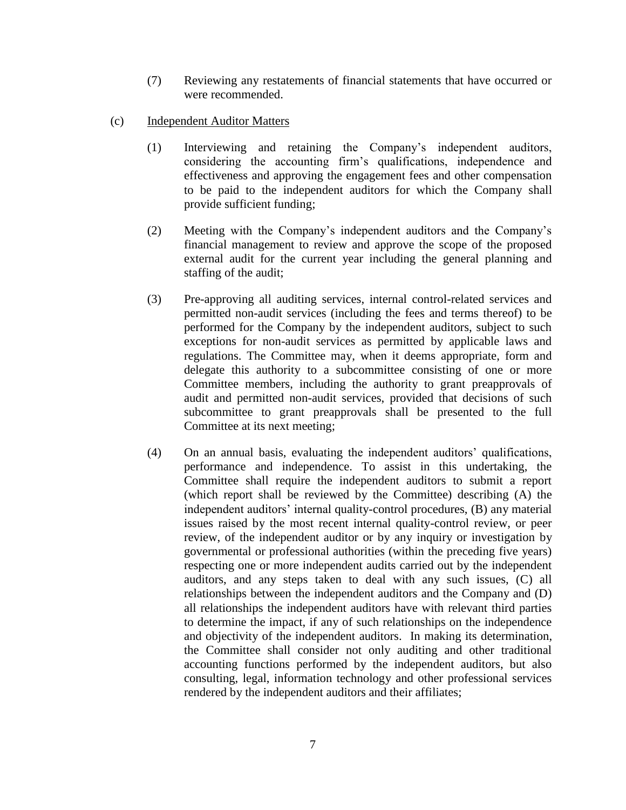- (7) Reviewing any restatements of financial statements that have occurred or were recommended.
- (c) Independent Auditor Matters
	- (1) Interviewing and retaining the Company's independent auditors, considering the accounting firm's qualifications, independence and effectiveness and approving the engagement fees and other compensation to be paid to the independent auditors for which the Company shall provide sufficient funding;
	- (2) Meeting with the Company's independent auditors and the Company's financial management to review and approve the scope of the proposed external audit for the current year including the general planning and staffing of the audit;
	- (3) Pre-approving all auditing services, internal control-related services and permitted non-audit services (including the fees and terms thereof) to be performed for the Company by the independent auditors, subject to such exceptions for non-audit services as permitted by applicable laws and regulations. The Committee may, when it deems appropriate, form and delegate this authority to a subcommittee consisting of one or more Committee members, including the authority to grant preapprovals of audit and permitted non-audit services, provided that decisions of such subcommittee to grant preapprovals shall be presented to the full Committee at its next meeting;
	- (4) On an annual basis, evaluating the independent auditors' qualifications, performance and independence. To assist in this undertaking, the Committee shall require the independent auditors to submit a report (which report shall be reviewed by the Committee) describing (A) the independent auditors' internal quality-control procedures, (B) any material issues raised by the most recent internal quality-control review, or peer review, of the independent auditor or by any inquiry or investigation by governmental or professional authorities (within the preceding five years) respecting one or more independent audits carried out by the independent auditors, and any steps taken to deal with any such issues, (C) all relationships between the independent auditors and the Company and (D) all relationships the independent auditors have with relevant third parties to determine the impact, if any of such relationships on the independence and objectivity of the independent auditors. In making its determination, the Committee shall consider not only auditing and other traditional accounting functions performed by the independent auditors, but also consulting, legal, information technology and other professional services rendered by the independent auditors and their affiliates;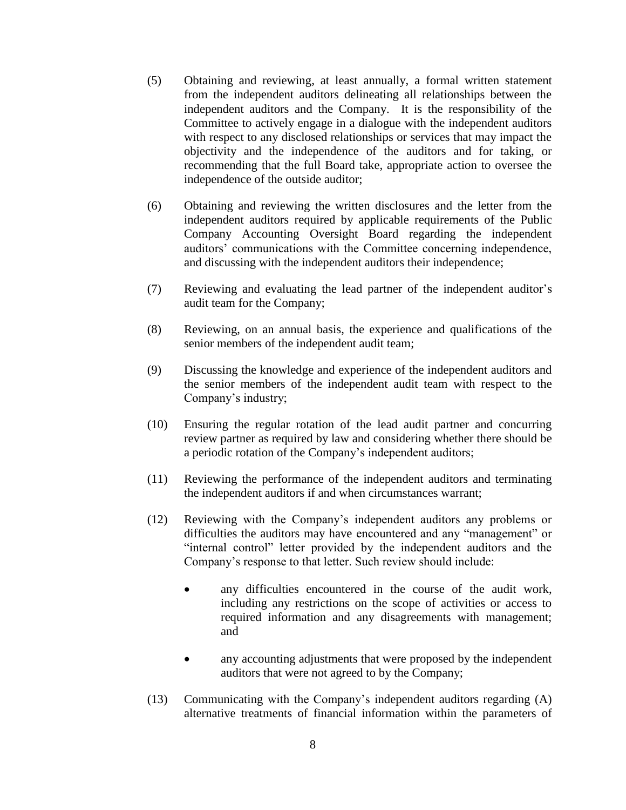- (5) Obtaining and reviewing, at least annually, a formal written statement from the independent auditors delineating all relationships between the independent auditors and the Company. It is the responsibility of the Committee to actively engage in a dialogue with the independent auditors with respect to any disclosed relationships or services that may impact the objectivity and the independence of the auditors and for taking, or recommending that the full Board take, appropriate action to oversee the independence of the outside auditor;
- (6) Obtaining and reviewing the written disclosures and the letter from the independent auditors required by applicable requirements of the Public Company Accounting Oversight Board regarding the independent auditors' communications with the Committee concerning independence, and discussing with the independent auditors their independence;
- (7) Reviewing and evaluating the lead partner of the independent auditor's audit team for the Company;
- (8) Reviewing, on an annual basis, the experience and qualifications of the senior members of the independent audit team;
- (9) Discussing the knowledge and experience of the independent auditors and the senior members of the independent audit team with respect to the Company's industry;
- (10) Ensuring the regular rotation of the lead audit partner and concurring review partner as required by law and considering whether there should be a periodic rotation of the Company's independent auditors;
- (11) Reviewing the performance of the independent auditors and terminating the independent auditors if and when circumstances warrant;
- (12) Reviewing with the Company's independent auditors any problems or difficulties the auditors may have encountered and any "management" or "internal control" letter provided by the independent auditors and the Company's response to that letter. Such review should include:
	- any difficulties encountered in the course of the audit work, including any restrictions on the scope of activities or access to required information and any disagreements with management; and
	- any accounting adjustments that were proposed by the independent auditors that were not agreed to by the Company;
- (13) Communicating with the Company's independent auditors regarding (A) alternative treatments of financial information within the parameters of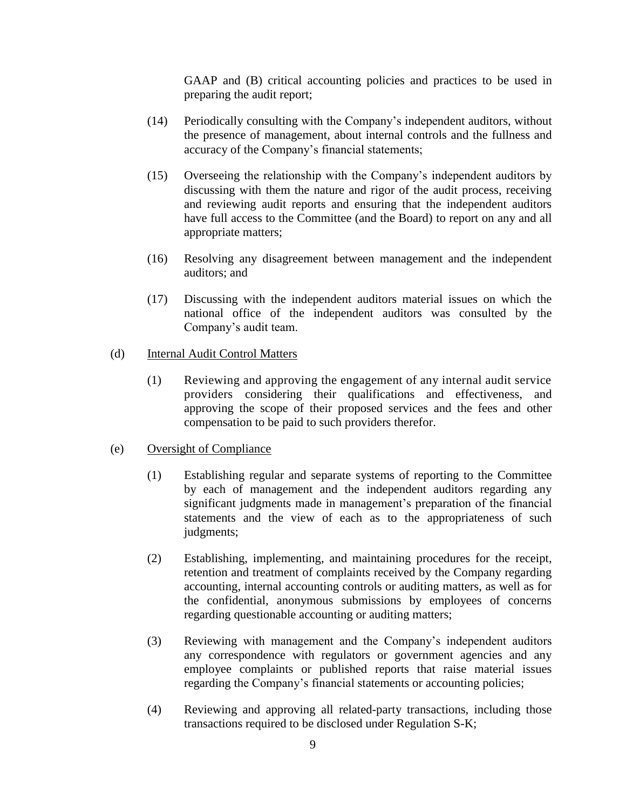GAAP and (B) critical accounting policies and practices to be used in preparing the audit report;

- (14) Periodically consulting with the Company's independent auditors, without the presence of management, about internal controls and the fullness and accuracy of the Company's financial statements;
- (15) Overseeing the relationship with the Company's independent auditors by discussing with them the nature and rigor of the audit process, receiving and reviewing audit reports and ensuring that the independent auditors have full access to the Committee (and the Board) to report on any and all appropriate matters;
- (16) Resolving any disagreement between management and the independent auditors; and
- (17) Discussing with the independent auditors material issues on which the national office of the independent auditors was consulted by the Company's audit team.

## (d) Internal Audit Control Matters

(1) Reviewing and approving the engagement of any internal audit service providers considering their qualifications and effectiveness, and approving the scope of their proposed services and the fees and other compensation to be paid to such providers therefor.

# (e) Oversight of Compliance

- (1) Establishing regular and separate systems of reporting to the Committee by each of management and the independent auditors regarding any significant judgments made in management's preparation of the financial statements and the view of each as to the appropriateness of such judgments;
- (2) Establishing, implementing, and maintaining procedures for the receipt, retention and treatment of complaints received by the Company regarding accounting, internal accounting controls or auditing matters, as well as for the confidential, anonymous submissions by employees of concerns regarding questionable accounting or auditing matters;
- (3) Reviewing with management and the Company's independent auditors any correspondence with regulators or government agencies and any employee complaints or published reports that raise material issues regarding the Company's financial statements or accounting policies;
- (4) Reviewing and approving all related-party transactions, including those transactions required to be disclosed under Regulation S-K;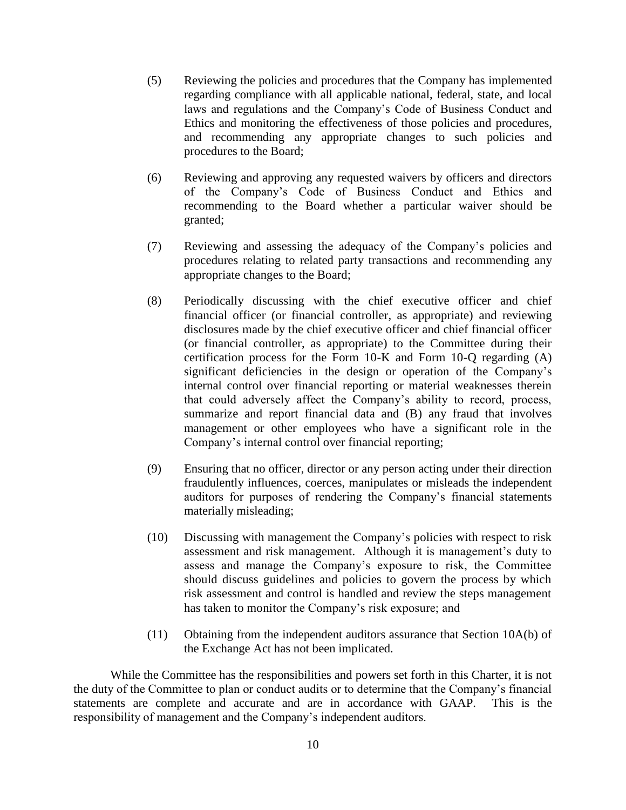- (5) Reviewing the policies and procedures that the Company has implemented regarding compliance with all applicable national, federal, state, and local laws and regulations and the Company's Code of Business Conduct and Ethics and monitoring the effectiveness of those policies and procedures, and recommending any appropriate changes to such policies and procedures to the Board;
- (6) Reviewing and approving any requested waivers by officers and directors of the Company's Code of Business Conduct and Ethics and recommending to the Board whether a particular waiver should be granted;
- (7) Reviewing and assessing the adequacy of the Company's policies and procedures relating to related party transactions and recommending any appropriate changes to the Board;
- (8) Periodically discussing with the chief executive officer and chief financial officer (or financial controller, as appropriate) and reviewing disclosures made by the chief executive officer and chief financial officer (or financial controller, as appropriate) to the Committee during their certification process for the Form 10-K and Form 10-Q regarding (A) significant deficiencies in the design or operation of the Company's internal control over financial reporting or material weaknesses therein that could adversely affect the Company's ability to record, process, summarize and report financial data and (B) any fraud that involves management or other employees who have a significant role in the Company's internal control over financial reporting;
- (9) Ensuring that no officer, director or any person acting under their direction fraudulently influences, coerces, manipulates or misleads the independent auditors for purposes of rendering the Company's financial statements materially misleading;
- (10) Discussing with management the Company's policies with respect to risk assessment and risk management. Although it is management's duty to assess and manage the Company's exposure to risk, the Committee should discuss guidelines and policies to govern the process by which risk assessment and control is handled and review the steps management has taken to monitor the Company's risk exposure; and
- (11) Obtaining from the independent auditors assurance that Section 10A(b) of the Exchange Act has not been implicated.

While the Committee has the responsibilities and powers set forth in this Charter, it is not the duty of the Committee to plan or conduct audits or to determine that the Company's financial statements are complete and accurate and are in accordance with GAAP. This is the responsibility of management and the Company's independent auditors.